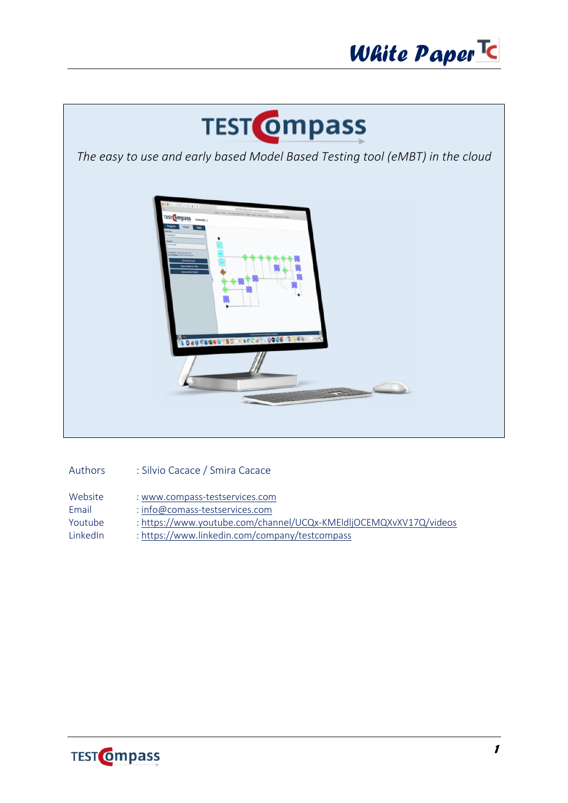



# Authors : Silvio Cacace / Smira Cacace

Website : www.compass-testservices.com

- Email : info@comass-testservices.com
- Youtube : https://www.youtube.com/channel/UCQx-KMEldljOCEMQXvXV17Q/videos

LinkedIn : https://www.linkedin.com/company/testcompass

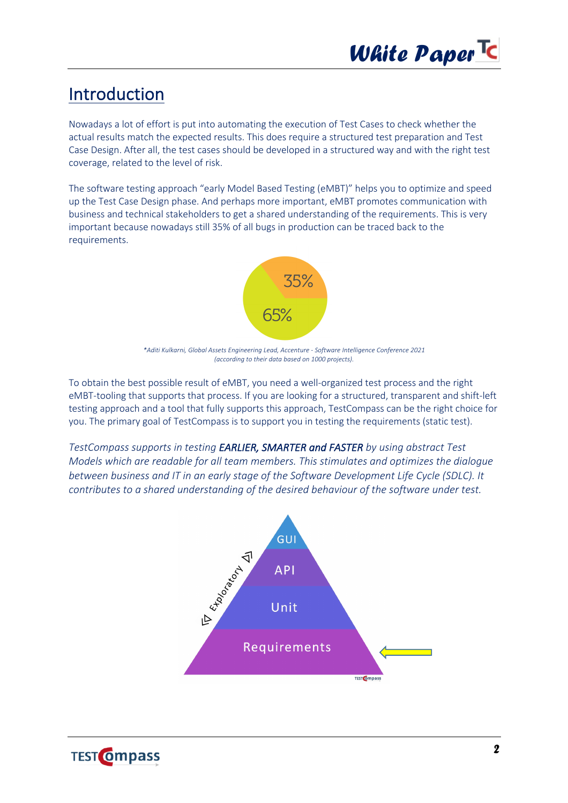

# Introduction

Nowadays a lot of effort is put into automating the execution of Test Cases to check whether the actual results match the expected results. This does require a structured test preparation and Test Case Design. After all, the test cases should be developed in a structured way and with the right test coverage, related to the level of risk.

The software testing approach "early Model Based Testing (eMBT)" helps you to optimize and speed up the Test Case Design phase. And perhaps more important, eMBT promotes communication with business and technical stakeholders to get a shared understanding of the requirements. This is very important because nowadays still 35% of all bugs in production can be traced back to the requirements.



*\*Aditi Kulkarni, Global Assets Engineering Lead, Accenture - Software Intelligence Conference 2021 (according to their data based on 1000 projects).*

To obtain the best possible result of eMBT, you need a well-organized test process and the right eMBT-tooling that supports that process. If you are looking for a structured, transparent and shift-left testing approach and a tool that fully supports this approach, TestCompass can be the right choice for you. The primary goal of TestCompass is to support you in testing the requirements (static test).

*TestCompass supports in testing EARLIER, SMARTER and FASTER by using abstract Test Models which are readable for all team members. This stimulates and optimizes the dialogue between business and IT in an early stage of the Software Development Life Cycle (SDLC). It contributes to a shared understanding of the desired behaviour of the software under test.*



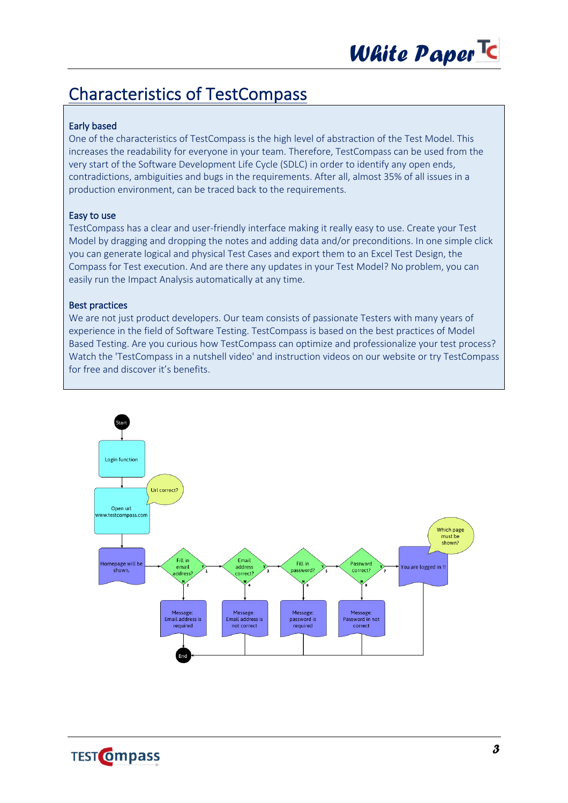

# Characteristics of TestCompass

# Early based

One of the characteristics of TestCompass is the high level of abstraction of the Test Model. This increases the readability for everyone in your team. Therefore, TestCompass can be used from the very start of the Software Development Life Cycle (SDLC) in order to identify any open ends, contradictions, ambiguities and bugs in the requirements. After all, almost 35% of all issues in a production environment, can be traced back to the requirements.

### Easy to use

TestCompass has a clear and user-friendly interface making it really easy to use. Create your Test Model by dragging and dropping the notes and adding data and/or preconditions. In one simple click you can generate logical and physical Test Cases and export them to an Excel Test Design, the Compass for Test execution. And are there any updates in your Test Model? No problem, you can easily run the Impact Analysis automatically at any time.

### Best practices

We are not just product developers. Our team consists of passionate Testers with many years of experience in the field of Software Testing. TestCompass is based on the best practices of Model Based Testing. Are you curious how TestCompass can optimize and professionalize your test process? Watch the 'TestCompass in a nutshell video' and instruction videos on our website or try TestCompass for free and discover it's benefits.



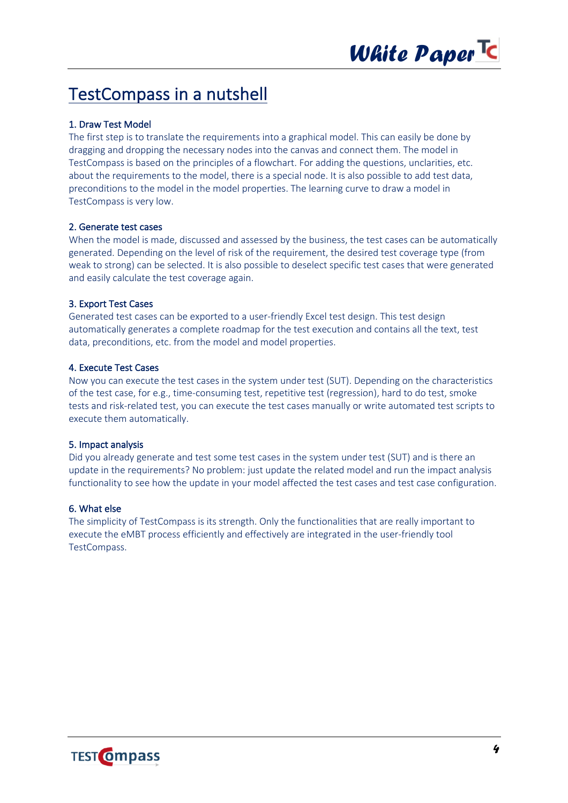

# TestCompass in a nutshell

## 1. Draw Test Model

The first step is to translate the requirements into a graphical model. This can easily be done by dragging and dropping the necessary nodes into the canvas and connect them. The model in TestCompass is based on the principles of a flowchart. For adding the questions, unclarities, etc. about the requirements to the model, there is a special node. It is also possible to add test data, preconditions to the model in the model properties. The learning curve to draw a model in TestCompass is very low.

### 2. Generate test cases

When the model is made, discussed and assessed by the business, the test cases can be automatically generated. Depending on the level of risk of the requirement, the desired test coverage type (from weak to strong) can be selected. It is also possible to deselect specific test cases that were generated and easily calculate the test coverage again.

#### 3. Export Test Cases

Generated test cases can be exported to a user-friendly Excel test design. This test design automatically generates a complete roadmap for the test execution and contains all the text, test data, preconditions, etc. from the model and model properties.

#### 4. Execute Test Cases

Now you can execute the test cases in the system under test (SUT). Depending on the characteristics of the test case, for e.g., time-consuming test, repetitive test (regression), hard to do test, smoke tests and risk-related test, you can execute the test cases manually or write automated test scripts to execute them automatically.

### 5. Impact analysis

Did you already generate and test some test cases in the system under test (SUT) and is there an update in the requirements? No problem: just update the related model and run the impact analysis functionality to see how the update in your model affected the test cases and test case configuration.

### 6. What else

The simplicity of TestCompass is its strength. Only the functionalities that are really important to execute the eMBT process efficiently and effectively are integrated in the user-friendly tool TestCompass.